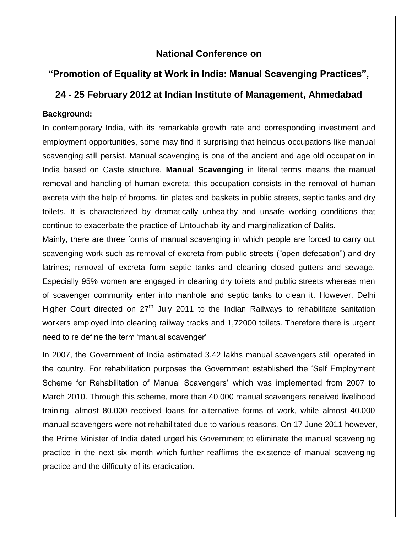# **National Conference on**

# **"Promotion of Equality at Work in India: Manual Scavenging Practices",**

## **24 - 25 February 2012 at Indian Institute of Management, Ahmedabad**

#### **Background:**

In contemporary India, with its remarkable growth rate and corresponding investment and employment opportunities, some may find it surprising that heinous occupations like manual scavenging still persist. Manual scavenging is one of the ancient and age old occupation in India based on Caste structure. **Manual Scavenging** in literal terms means the manual removal and handling of human excreta; this occupation consists in the removal of human excreta with the help of brooms, tin plates and baskets in public streets, septic tanks and dry toilets. It is characterized by dramatically unhealthy and unsafe working conditions that continue to exacerbate the practice of Untouchability and marginalization of Dalits.

Mainly, there are three forms of manual scavenging in which people are forced to carry out scavenging work such as removal of excreta from public streets ("open defecation") and dry latrines; removal of excreta form septic tanks and cleaning closed gutters and sewage. Especially 95% women are engaged in cleaning dry toilets and public streets whereas men of scavenger community enter into manhole and septic tanks to clean it. However, Delhi Higher Court directed on  $27<sup>th</sup>$  July 2011 to the Indian Railways to rehabilitate sanitation workers employed into cleaning railway tracks and 1,72000 toilets. Therefore there is urgent need to re define the term 'manual scavenger'

In 2007, the Government of India estimated 3.42 lakhs manual scavengers still operated in the country. For rehabilitation purposes the Government established the 'Self Employment Scheme for Rehabilitation of Manual Scavengers' which was implemented from 2007 to March 2010. Through this scheme, more than 40.000 manual scavengers received livelihood training, almost 80.000 received loans for alternative forms of work, while almost 40.000 manual scavengers were not rehabilitated due to various reasons. On 17 June 2011 however, the Prime Minister of India dated urged his Government to eliminate the manual scavenging practice in the next six month which further reaffirms the existence of manual scavenging practice and the difficulty of its eradication.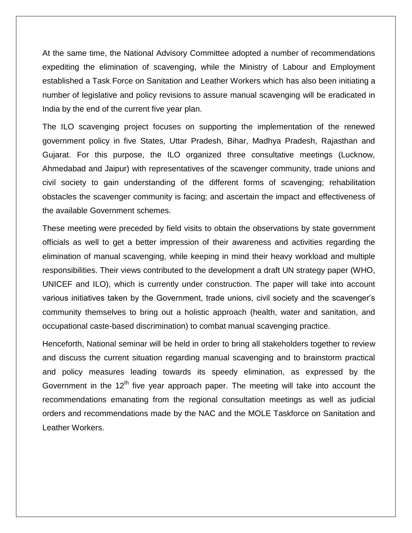At the same time, the National Advisory Committee adopted a number of recommendations expediting the elimination of scavenging, while the Ministry of Labour and Employment established a Task Force on Sanitation and Leather Workers which has also been initiating a number of legislative and policy revisions to assure manual scavenging will be eradicated in India by the end of the current five year plan.

The ILO scavenging project focuses on supporting the implementation of the renewed government policy in five States, Uttar Pradesh, Bihar, Madhya Pradesh, Rajasthan and Gujarat. For this purpose, the ILO organized three consultative meetings (Lucknow, Ahmedabad and Jaipur) with representatives of the scavenger community, trade unions and civil society to gain understanding of the different forms of scavenging; rehabilitation obstacles the scavenger community is facing; and ascertain the impact and effectiveness of the available Government schemes.

These meeting were preceded by field visits to obtain the observations by state government officials as well to get a better impression of their awareness and activities regarding the elimination of manual scavenging, while keeping in mind their heavy workload and multiple responsibilities. Their views contributed to the development a draft UN strategy paper (WHO, UNICEF and ILO), which is currently under construction. The paper will take into account various initiatives taken by the Government, trade unions, civil society and the scavenger's community themselves to bring out a holistic approach (health, water and sanitation, and occupational caste-based discrimination) to combat manual scavenging practice.

Henceforth, National seminar will be held in order to bring all stakeholders together to review and discuss the current situation regarding manual scavenging and to brainstorm practical and policy measures leading towards its speedy elimination, as expressed by the Government in the  $12<sup>th</sup>$  five year approach paper. The meeting will take into account the recommendations emanating from the regional consultation meetings as well as judicial orders and recommendations made by the NAC and the MOLE Taskforce on Sanitation and Leather Workers.